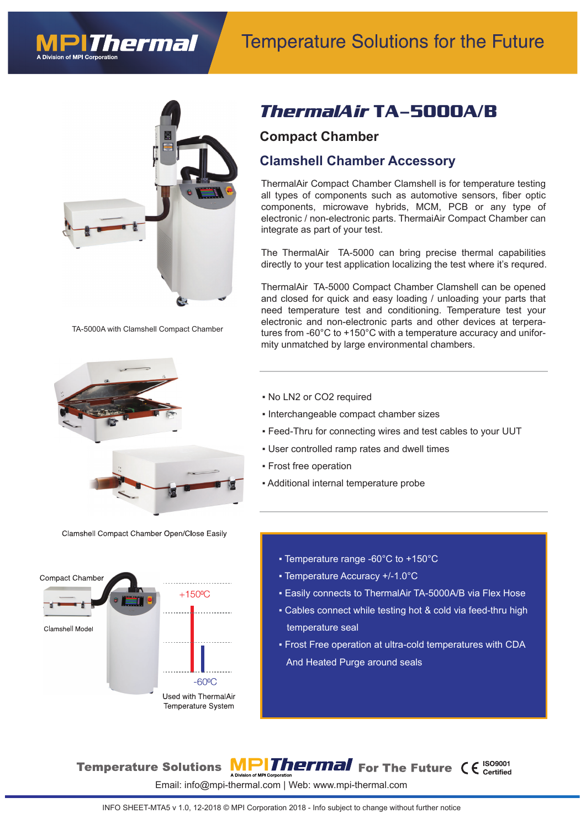# **Temperature Solutions for the Future**



hermal

TA-5000A with Clamshell Compact Chamber



Clamshell Compact Chamber Open/Close Easily



### *ThermalAir* **TA-5000A/B**

#### **Compact Chamber**

#### **Clamshell Chamber Accessory**

ThermalAir Compact Chamber Clamshell is for temperature testing all types of components such as automotive sensors, fiber optic components, microwave hybrids, MCM, PCB or any type of electronic / non-electronic parts. ThermaiAir Compact Chamber can integrate as part of your test.

The ThermalAir TA-5000 can bring precise thermal capabilities directly to your test application localizing the test where it's requred.

ThermalAir TA-5000 Compact Chamber Clamshell can be opened and closed for quick and easy loading / unloading your parts that need temperature test and conditioning. Temperature test your electronic and non-electronic parts and other devices at terperatures from -60 $^{\circ}$ C to +150 $^{\circ}$ C with a temperature accuracy and uniformity unmatched by large environmental chambers.

- No LN2 or CO2 required
- Interchangeable compact chamber sizes
- Feed-Thru for connecting wires and test cables to your UUT
- User controlled ramp rates and dwell times
- Frost free operation
- Additional internal temperature probe
	- Temperature range -60°C to +150°C
	- Temperature Accuracy +/-1.0°C
	- Easily connects to ThermalAir TA-5000A/B via Flex Hose
	- Cables connect while testing hot & cold via feed-thru high temperature seal
	- Frost Free operation at ultra-cold temperatures with CDA And Heated Purge around seals